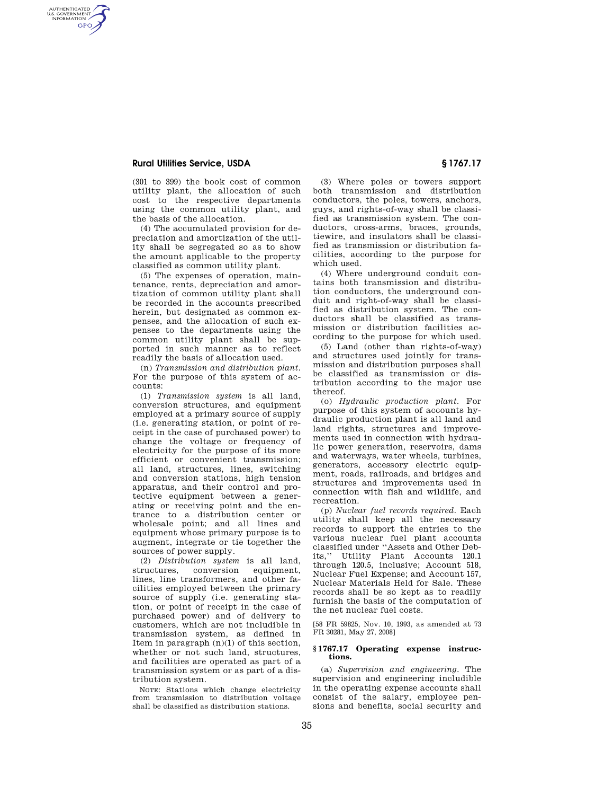# **Rural Utilities Service, USDA § 1767.17**

AUTHENTICATED<br>U.S. GOVERNMENT<br>INFORMATION **GPO** 

> (301 to 399) the book cost of common utility plant, the allocation of such cost to the respective departments using the common utility plant, and the basis of the allocation.

> (4) The accumulated provision for depreciation and amortization of the utility shall be segregated so as to show the amount applicable to the property classified as common utility plant.

> (5) The expenses of operation, maintenance, rents, depreciation and amortization of common utility plant shall be recorded in the accounts prescribed herein, but designated as common expenses, and the allocation of such expenses to the departments using the common utility plant shall be supported in such manner as to reflect readily the basis of allocation used.

(n) *Transmission and distribution plant.*  For the purpose of this system of accounts:

(1) *Transmission system* is all land, conversion structures, and equipment employed at a primary source of supply (i.e. generating station, or point of receipt in the case of purchased power) to change the voltage or frequency of electricity for the purpose of its more efficient or convenient transmission; all land, structures, lines, switching and conversion stations, high tension apparatus, and their control and protective equipment between a generating or receiving point and the entrance to a distribution center or wholesale point; and all lines and equipment whose primary purpose is to augment, integrate or tie together the sources of power supply.

(2) *Distribution system* is all land, structures, conversion equipment, lines, line transformers, and other facilities employed between the primary source of supply (i.e. generating station, or point of receipt in the case of purchased power) and of delivery to customers, which are not includible in transmission system, as defined in Item in paragraph  $(n)(1)$  of this section, whether or not such land, structures, and facilities are operated as part of a transmission system or as part of a distribution system.

NOTE: Stations which change electricity from transmission to distribution voltage shall be classified as distribution stations.

(3) Where poles or towers support both transmission and distribution conductors, the poles, towers, anchors, guys, and rights-of-way shall be classified as transmission system. The conductors, cross-arms, braces, grounds, tiewire, and insulators shall be classified as transmission or distribution facilities, according to the purpose for which used.

(4) Where underground conduit contains both transmission and distribution conductors, the underground conduit and right-of-way shall be classified as distribution system. The conductors shall be classified as transmission or distribution facilities according to the purpose for which used.

(5) Land (other than rights-of-way) and structures used jointly for transmission and distribution purposes shall be classified as transmission or distribution according to the major use thereof.

(o) *Hydraulic production plant.* For purpose of this system of accounts hydraulic production plant is all land and land rights, structures and improvements used in connection with hydraulic power generation, reservoirs, dams and waterways, water wheels, turbines, generators, accessory electric equipment, roads, railroads, and bridges and structures and improvements used in connection with fish and wildlife, and recreation.

(p) *Nuclear fuel records required.* Each utility shall keep all the necessary records to support the entries to the various nuclear fuel plant accounts classified under ''Assets and Other Debits,'' Utility Plant Accounts 120.1 through 120.5, inclusive; Account 518, Nuclear Fuel Expense; and Account 157, Nuclear Materials Held for Sale. These records shall be so kept as to readily furnish the basis of the computation of the net nuclear fuel costs.

[58 FR 59825, Nov. 10, 1993, as amended at 73 FR 30281, May 27, 2008]

### **§ 1767.17 Operating expense instructions.**

(a) *Supervision and engineering.* The supervision and engineering includible in the operating expense accounts shall consist of the salary, employee pensions and benefits, social security and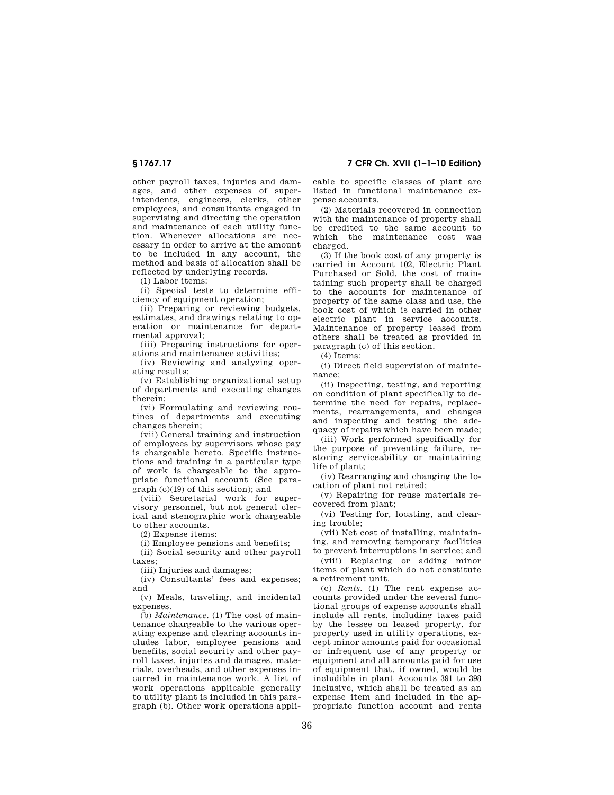other payroll taxes, injuries and damages, and other expenses of superintendents, engineers, clerks, other employees, and consultants engaged in supervising and directing the operation and maintenance of each utility function. Whenever allocations are necessary in order to arrive at the amount to be included in any account, the method and basis of allocation shall be reflected by underlying records.

(1) Labor items:

(i) Special tests to determine efficiency of equipment operation;

(ii) Preparing or reviewing budgets, estimates, and drawings relating to operation or maintenance for departmental approval;

(iii) Preparing instructions for operations and maintenance activities;

(iv) Reviewing and analyzing operating results;

(v) Establishing organizational setup of departments and executing changes therein;

(vi) Formulating and reviewing routines of departments and executing changes therein;

(vii) General training and instruction of employees by supervisors whose pay is chargeable hereto. Specific instructions and training in a particular type of work is chargeable to the appropriate functional account (See paragraph (c)(19) of this section); and

(viii) Secretarial work for supervisory personnel, but not general clerical and stenographic work chargeable to other accounts.

(2) Expense items:

(i) Employee pensions and benefits;

(ii) Social security and other payroll taxes;

(iii) Injuries and damages;

(iv) Consultants' fees and expenses; and

(v) Meals, traveling, and incidental expenses.

(b) *Maintenance.* (1) The cost of maintenance chargeable to the various operating expense and clearing accounts includes labor, employee pensions and benefits, social security and other payroll taxes, injuries and damages, materials, overheads, and other expenses incurred in maintenance work. A list of work operations applicable generally to utility plant is included in this paragraph (b). Other work operations applicable to specific classes of plant are listed in functional maintenance expense accounts.

(2) Materials recovered in connection with the maintenance of property shall be credited to the same account to which the maintenance cost was charged.

(3) If the book cost of any property is carried in Account 102, Electric Plant Purchased or Sold, the cost of maintaining such property shall be charged to the accounts for maintenance of property of the same class and use, the book cost of which is carried in other electric plant in service accounts. Maintenance of property leased from others shall be treated as provided in paragraph (c) of this section.

(4) Items:

(i) Direct field supervision of maintenance;

(ii) Inspecting, testing, and reporting on condition of plant specifically to determine the need for repairs, replacements, rearrangements, and changes and inspecting and testing the adequacy of repairs which have been made;

(iii) Work performed specifically for the purpose of preventing failure, restoring serviceability or maintaining life of plant;

(iv) Rearranging and changing the location of plant not retired;

(v) Repairing for reuse materials recovered from plant;

(vi) Testing for, locating, and clearing trouble;

(vii) Net cost of installing, maintaining, and removing temporary facilities to prevent interruptions in service; and

(viii) Replacing or adding minor items of plant which do not constitute a retirement unit.

(c) *Rents.* (1) The rent expense accounts provided under the several functional groups of expense accounts shall include all rents, including taxes paid by the lessee on leased property, for property used in utility operations, except minor amounts paid for occasional or infrequent use of any property or equipment and all amounts paid for use of equipment that, if owned, would be includible in plant Accounts 391 to 398 inclusive, which shall be treated as an expense item and included in the appropriate function account and rents